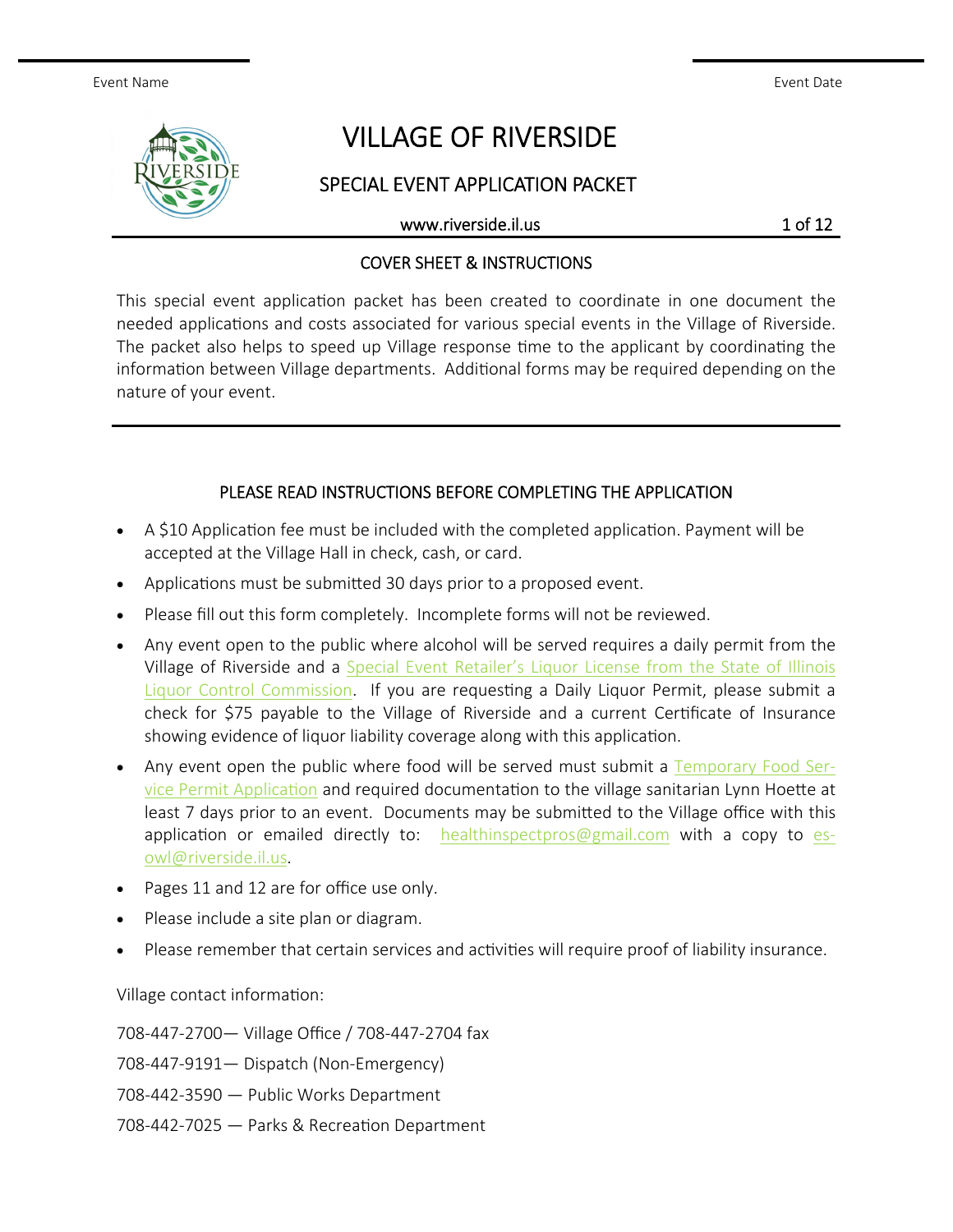Event Name Event Date

# VILLAGE OF RIVERSIDE

SPECIAL EVENT APPLICATION PACKET

www.riverside.il.us 1 of 12

### COVER SHEET & INSTRUCTIONS

This special event application packet has been created to coordinate in one document the needed applications and costs associated for various special events in the Village of Riverside. The packet also helps to speed up Village response time to the applicant by coordinating the information between Village departments. Additional forms may be required depending on the nature of your event.

# PLEASE READ INSTRUCTIONS BEFORE COMPLETING THE APPLICATION

- A \$10 Application fee must be included with the completed application. Payment will be accepted at the Village Hall in check, cash, or card.
- Applications must be submitted 30 days prior to a proposed event.
- Please fill out this form completely. Incomplete forms will not be reviewed.
- Any event open to the public where alcohol will be served requires a daily permit from the Village of Riverside and a Special Event Retailer's Liquor License from the State of Illinois Liquor Control Commission. If you are requesting a Daily Liquor Permit, please submit a check for \$75 payable to the Village of Riverside and a current Certificate of Insurance showing evidence of liquor liability coverage along with this application.
- Any event open the public where food will be served must submit a Temporary Food Service Permit Application and required documentation to the village sanitarian Lynn Hoette at least 7 days prior to an event. Documents may be submitted to the Village office with this application or emailed directly to:  $healthin spectrosggmail.com$  with a copy to esowl@riverside.il.us.
- Pages 11 and 12 are for office use only.
- Please include a site plan or diagram.
- Please remember that certain services and activities will require proof of liability insurance.

Village contact information:

708-447-2700— Village Office / 708-447-2704 fax

708-447-9191— Dispatch (Non-Emergency)

708-442-3590 — Public Works Department

708-442-7025 — Parks & Recreation Department

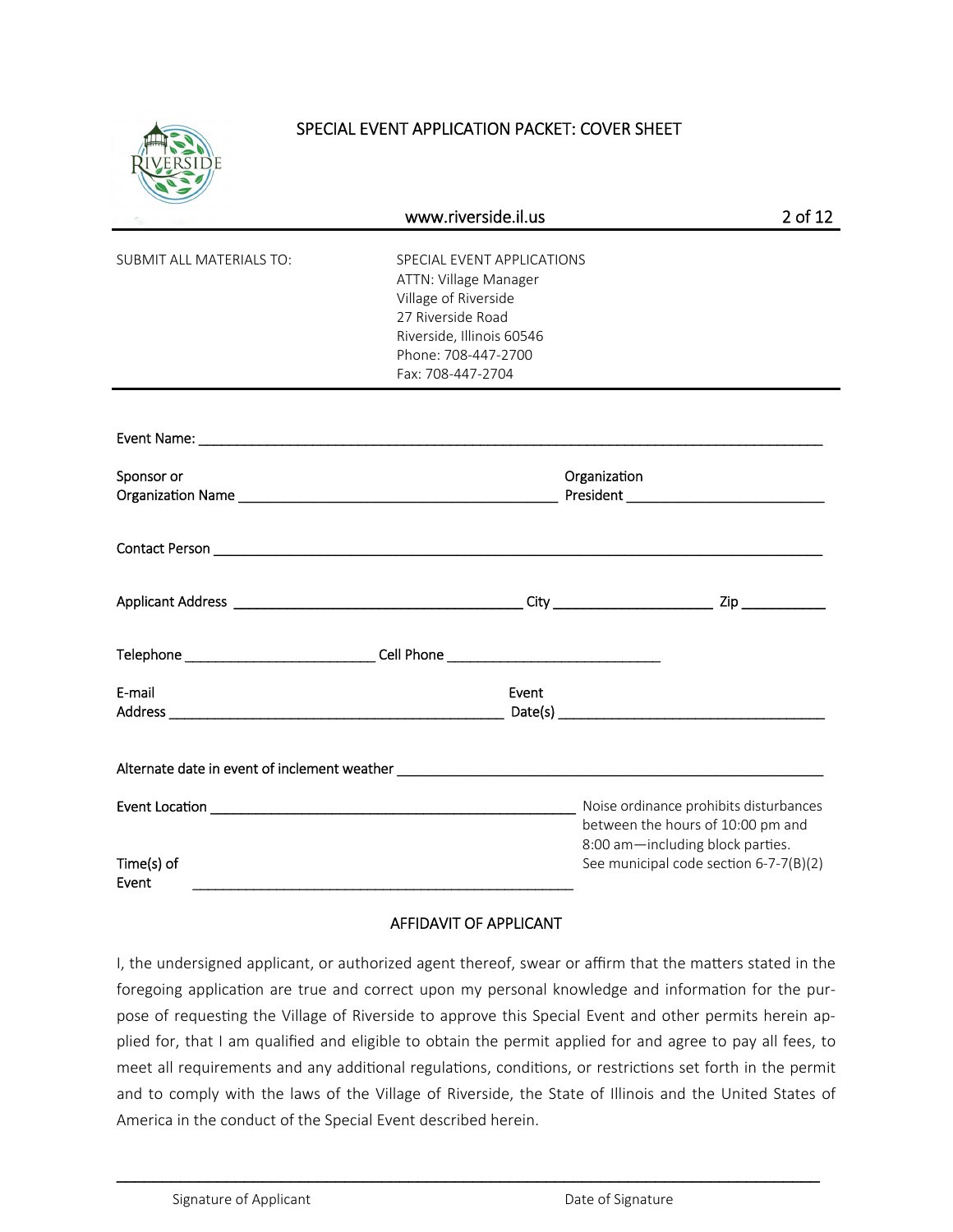

# SPECIAL EVENT APPLICATION PACKET: COVER SHEET

|                                                                                   | www.riverside.il.us                                                                                                                                                       |       | 2 of 12                                                                                                                                                   |
|-----------------------------------------------------------------------------------|---------------------------------------------------------------------------------------------------------------------------------------------------------------------------|-------|-----------------------------------------------------------------------------------------------------------------------------------------------------------|
| <b>SUBMIT ALL MATERIALS TO:</b>                                                   | SPECIAL EVENT APPLICATIONS<br>ATTN: Village Manager<br>Village of Riverside<br>27 Riverside Road<br>Riverside, Illinois 60546<br>Phone: 708-447-2700<br>Fax: 708-447-2704 |       |                                                                                                                                                           |
|                                                                                   |                                                                                                                                                                           |       |                                                                                                                                                           |
| Sponsor or                                                                        |                                                                                                                                                                           |       | Organization                                                                                                                                              |
|                                                                                   |                                                                                                                                                                           |       |                                                                                                                                                           |
|                                                                                   |                                                                                                                                                                           |       |                                                                                                                                                           |
| Telephone _________________________________Cell Phone ___________________________ |                                                                                                                                                                           |       |                                                                                                                                                           |
| E-mail                                                                            |                                                                                                                                                                           | Event |                                                                                                                                                           |
|                                                                                   |                                                                                                                                                                           |       |                                                                                                                                                           |
|                                                                                   |                                                                                                                                                                           |       | Noise ordinance prohibits disturbances<br>between the hours of 10:00 pm and<br>8:00 am-including block parties.<br>See municipal code section 6-7-7(B)(2) |
| Time(s) of<br>Event                                                               |                                                                                                                                                                           |       |                                                                                                                                                           |

#### AFFIDAVIT OF APPLICANT

I, the undersigned applicant, or authorized agent thereof, swear or affirm that the matters stated in the foregoing application are true and correct upon my personal knowledge and information for the purpose of requesting the Village of Riverside to approve this Special Event and other permits herein applied for, that I am qualified and eligible to obtain the permit applied for and agree to pay all fees, to meet all requirements and any additional regulations, conditions, or restrictions set forth in the permit and to comply with the laws of the Village of Riverside, the State of Illinois and the United States of America in the conduct of the Special Event described herein.

\_\_\_\_\_\_\_\_\_\_\_\_\_\_\_\_\_\_\_\_\_\_\_\_\_\_\_\_\_\_\_\_\_\_\_\_\_\_\_\_\_\_\_\_\_\_\_\_\_\_\_\_\_\_\_\_\_\_\_\_\_\_\_\_\_\_\_\_\_\_\_\_\_\_\_\_\_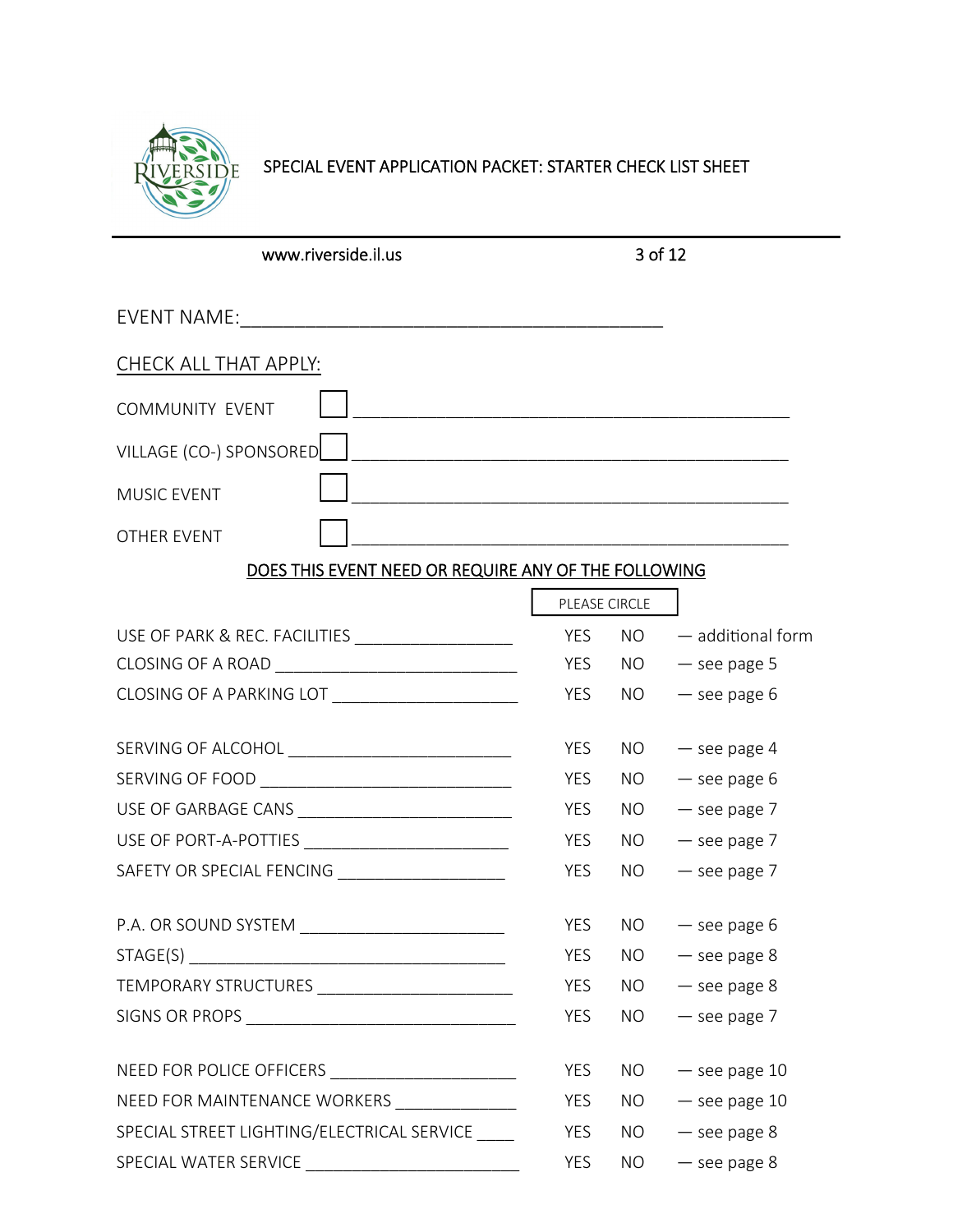

# SPECIAL EVENT APPLICATION PACKET: STARTER CHECK LIST SHEET

| www.riverside.il.us                                  |               | 3 of 12         |                     |
|------------------------------------------------------|---------------|-----------------|---------------------|
|                                                      |               |                 |                     |
| CHECK ALL THAT APPLY:                                |               |                 |                     |
| <b>COMMUNITY EVENT</b>                               |               |                 |                     |
| VILLAGE (CO-) SPONSORED                              |               |                 |                     |
| <b>MUSIC EVENT</b>                                   |               |                 |                     |
| OTHER EVENT                                          |               |                 |                     |
| DOES THIS EVENT NEED OR REQUIRE ANY OF THE FOLLOWING |               |                 |                     |
|                                                      | PLEASE CIRCLE |                 |                     |
|                                                      | <b>YES</b>    | NO              | $-$ additional form |
|                                                      | <b>YES</b>    | NO.             | $-$ see page 5      |
|                                                      | YES           | <b>NO</b>       | $-$ see page $6$    |
|                                                      | YES           | NO.             | $-$ see page 4      |
|                                                      | YES           | <b>NO</b>       | $-$ see page 6      |
|                                                      | <b>YES</b>    | NO              | $-$ see page $7$    |
|                                                      | YES           | NO.             | $-$ see page $7$    |
| SAFETY OR SPECIAL FENCING ___________________        | YES           | NO.             | $-$ see page $7$    |
| P.A. OR SOUND SYSTEM                                 | YES           |                 | $NO - see page 6$   |
|                                                      | YES           | NO <sub>1</sub> | $-$ see page 8      |
|                                                      | YES           | NO              | $-$ see page $8$    |
|                                                      | YES           | NO.             | $-$ see page $7$    |
|                                                      | YES           | NO              | $-$ see page 10     |
| NEED FOR MAINTENANCE WORKERS ______________          | YES           | NO.             | $-$ see page 10     |
| SPECIAL STREET LIGHTING/ELECTRICAL SERVICE           | YES           | <b>NO</b>       | $-$ see page 8      |
|                                                      | YES           | NO.             | $-$ see page 8      |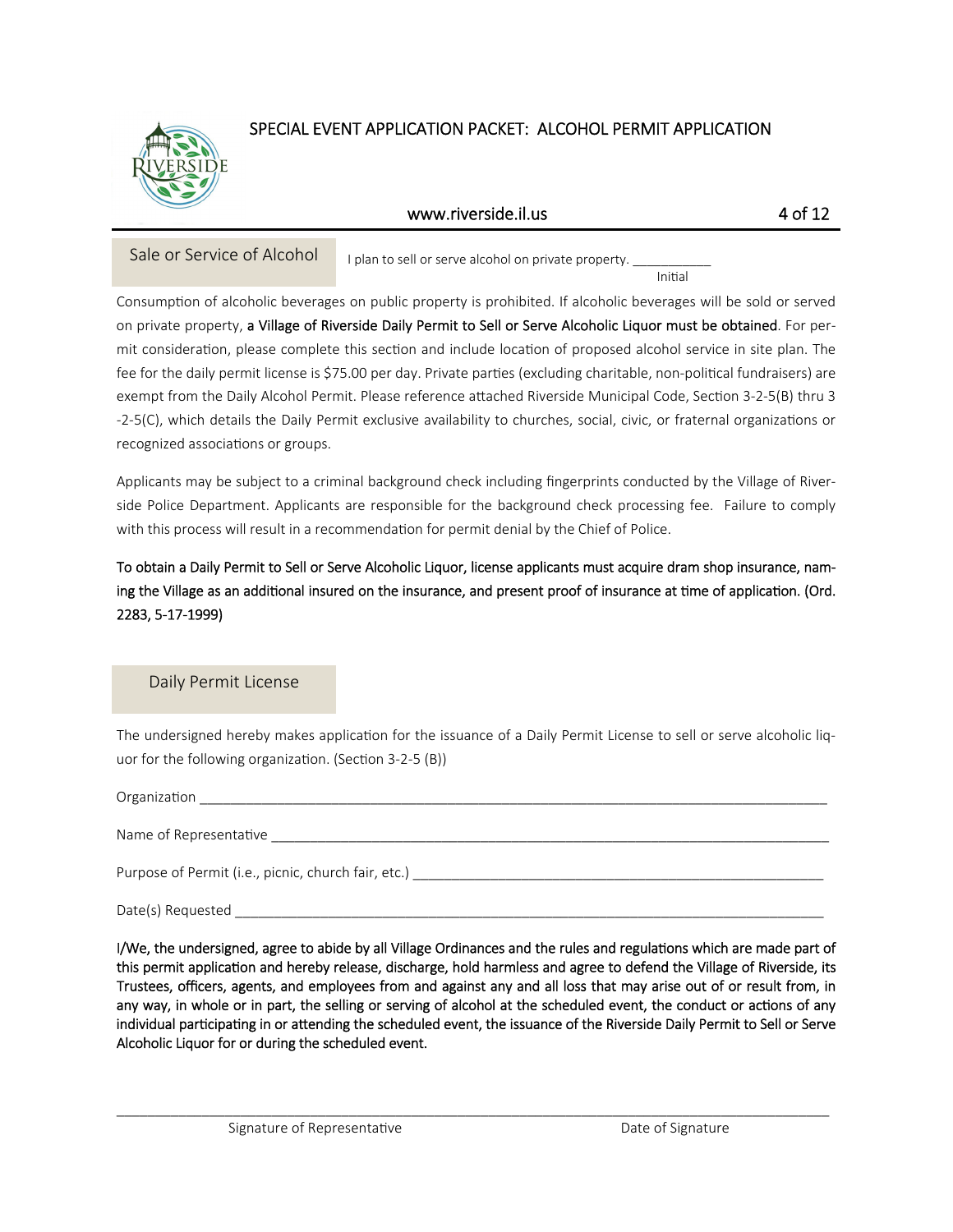

# SPECIAL EVENT APPLICATION PACKET: ALCOHOL PERMIT APPLICATION

#### www.riverside.il.us 4 of 12

Sale or Service of Alcohol I plan to sell or serve alcohol on private property.

initial contracts of the contracts of the contracts of the contracts of the contracts of the contracts of the

Consumption of alcoholic beverages on public property is prohibited. If alcoholic beverages will be sold or served on private property, a Village of Riverside Daily Permit to Sell or Serve Alcoholic Liquor must be obtained. For permit consideration, please complete this section and include location of proposed alcohol service in site plan. The fee for the daily permit license is \$75.00 per day. Private parties (excluding charitable, non-political fundraisers) are exempt from the Daily Alcohol Permit. Please reference attached Riverside Municipal Code, Section 3-2-5(B) thru 3 -2-5(C), which details the Daily Permit exclusive availability to churches, social, civic, or fraternal organizations or recognized associations or groups.

Applicants may be subject to a criminal background check including fingerprints conducted by the Village of Riverside Police Department. Applicants are responsible for the background check processing fee. Failure to comply with this process will result in a recommendation for permit denial by the Chief of Police.

To obtain a Daily Permit to Sell or Serve Alcoholic Liquor, license applicants must acquire dram shop insurance, naming the Village as an additional insured on the insurance, and present proof of insurance at time of application. (Ord. 2283, 5-17-1999)

Daily Permit License

The undersigned hereby makes application for the issuance of a Daily Permit License to sell or serve alcoholic liquor for the following organization. (Section 3-2-5 (B))

Organization

Name of RepresentaƟve \_\_\_\_\_\_\_\_\_\_\_\_\_\_\_\_\_\_\_\_\_\_\_\_\_\_\_\_\_\_\_\_\_\_\_\_\_\_\_\_\_\_\_\_\_\_\_\_\_\_\_\_\_\_\_\_\_\_\_\_\_\_\_\_\_\_\_\_\_\_\_\_

Purpose of Permit (i.e., picnic, church fair, etc.) \_\_\_\_\_\_\_\_\_\_\_\_\_\_\_\_\_\_\_\_\_\_\_\_\_\_\_\_

Date(s) Requested

I/We, the undersigned, agree to abide by all Village Ordinances and the rules and regulations which are made part of this permit application and hereby release, discharge, hold harmless and agree to defend the Village of Riverside, its Trustees, officers, agents, and employees from and against any and all loss that may arise out of or result from, in any way, in whole or in part, the selling or serving of alcohol at the scheduled event, the conduct or actions of any individual participating in or attending the scheduled event, the issuance of the Riverside Daily Permit to Sell or Serve Alcoholic Liquor for or during the scheduled event.

 $\_$  ,  $\_$  ,  $\_$  ,  $\_$  ,  $\_$  ,  $\_$  ,  $\_$  ,  $\_$  ,  $\_$  ,  $\_$  ,  $\_$  ,  $\_$  ,  $\_$  ,  $\_$  ,  $\_$  ,  $\_$  ,  $\_$  ,  $\_$  ,  $\_$  ,  $\_$  ,  $\_$  ,  $\_$  ,  $\_$  ,  $\_$  ,  $\_$  ,  $\_$  ,  $\_$  ,  $\_$  ,  $\_$  ,  $\_$  ,  $\_$  ,  $\_$  ,  $\_$  ,  $\_$  ,  $\_$  ,  $\_$  ,  $\_$  ,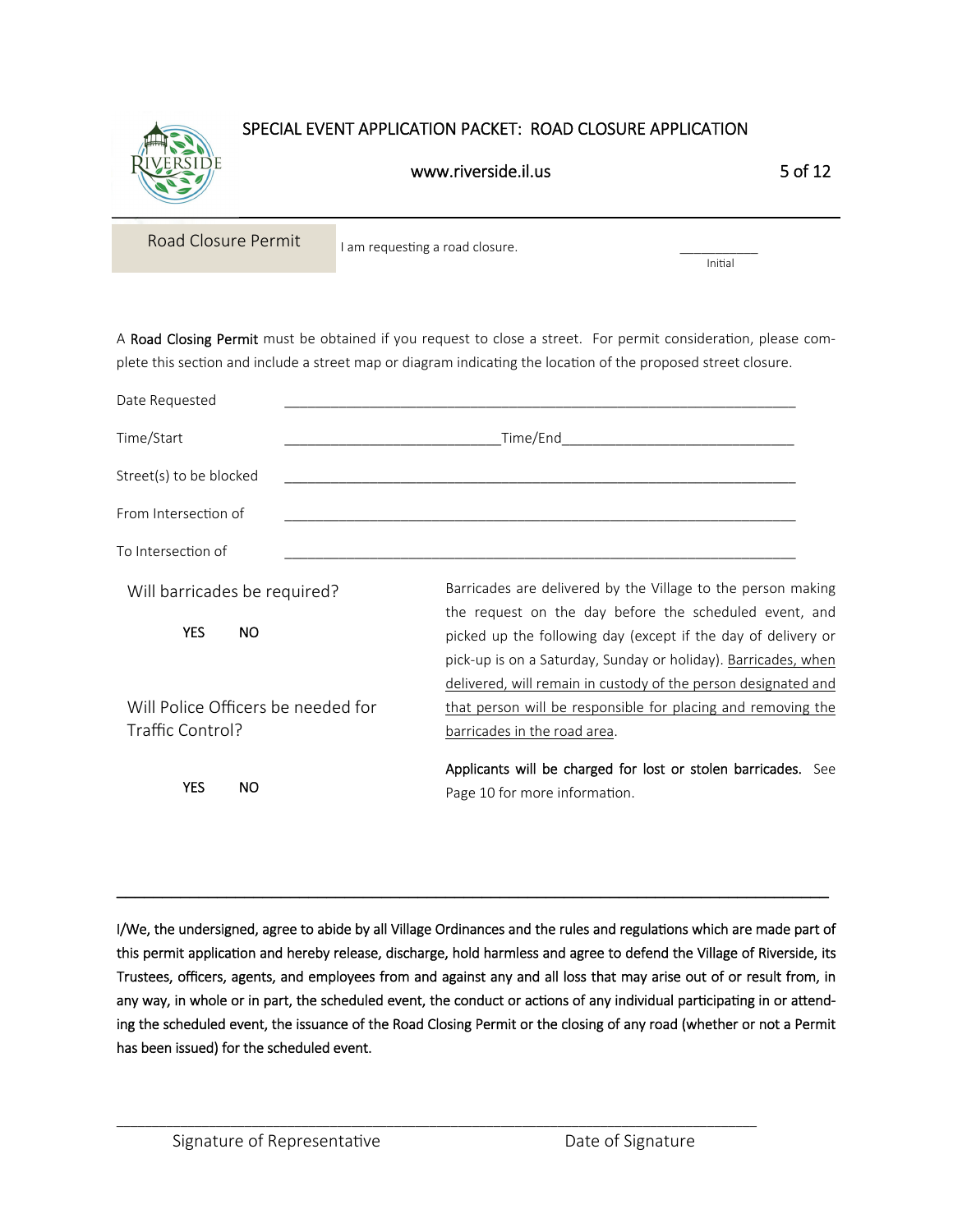

# SPECIAL EVENT APPLICATION PACKET: ROAD CLOSURE APPLICATION

# www.riverside.il.us 5 of 12

Road Closure Permit I am requesting a road closure.

ini da kara ta 1999 - Anii 1999 - Anii 1999 - Anii 1909 - Anii 1909 - Anii 1909 - Anii 1909 - Anii 1909 - Anii

A Road Closing Permit must be obtained if you request to close a street. For permit consideration, please complete this section and include a street map or diagram indicating the location of the proposed street closure.

| Date Requested                                         |                                                                                                                                                                                                   |
|--------------------------------------------------------|---------------------------------------------------------------------------------------------------------------------------------------------------------------------------------------------------|
| Time/Start                                             |                                                                                                                                                                                                   |
| Street(s) to be blocked                                |                                                                                                                                                                                                   |
| From Intersection of                                   |                                                                                                                                                                                                   |
| To Intersection of                                     |                                                                                                                                                                                                   |
| Will barricades be required?                           | Barricades are delivered by the Village to the person making<br>the request on the day before the scheduled event, and                                                                            |
| <b>YES</b><br>NO.                                      | picked up the following day (except if the day of delivery or<br>pick-up is on a Saturday, Sunday or holiday). Barricades, when<br>delivered, will remain in custody of the person designated and |
| Will Police Officers be needed for<br>Traffic Control? | that person will be responsible for placing and removing the<br>barricades in the road area.                                                                                                      |
| <b>YES</b><br>NO.                                      | Applicants will be charged for lost or stolen barricades. See<br>Page 10 for more information.                                                                                                    |

I/We, the undersigned, agree to abide by all Village Ordinances and the rules and regulations which are made part of this permit application and hereby release, discharge, hold harmless and agree to defend the Village of Riverside, its Trustees, officers, agents, and employees from and against any and all loss that may arise out of or result from, in any way, in whole or in part, the scheduled event, the conduct or actions of any individual participating in or attending the scheduled event, the issuance of the Road Closing Permit or the closing of any road (whether or not a Permit has been issued) for the scheduled event.

\_\_\_\_\_\_\_\_\_\_\_\_\_\_\_\_\_\_\_\_\_\_\_\_\_\_\_\_\_\_\_\_\_\_\_\_\_\_\_\_\_\_\_\_\_\_\_\_\_\_\_\_\_\_\_\_\_\_\_\_\_\_\_\_\_\_\_\_\_\_\_\_\_\_\_\_\_\_\_\_\_\_\_\_\_\_\_\_\_\_

\_\_\_\_\_\_\_\_\_\_\_\_\_\_\_\_\_\_\_\_\_\_\_\_\_\_\_\_\_\_\_\_\_\_\_\_\_\_\_\_\_\_\_\_\_\_\_\_\_\_\_\_\_\_\_\_\_\_\_\_\_\_\_\_\_\_\_\_\_\_\_\_\_\_\_\_\_\_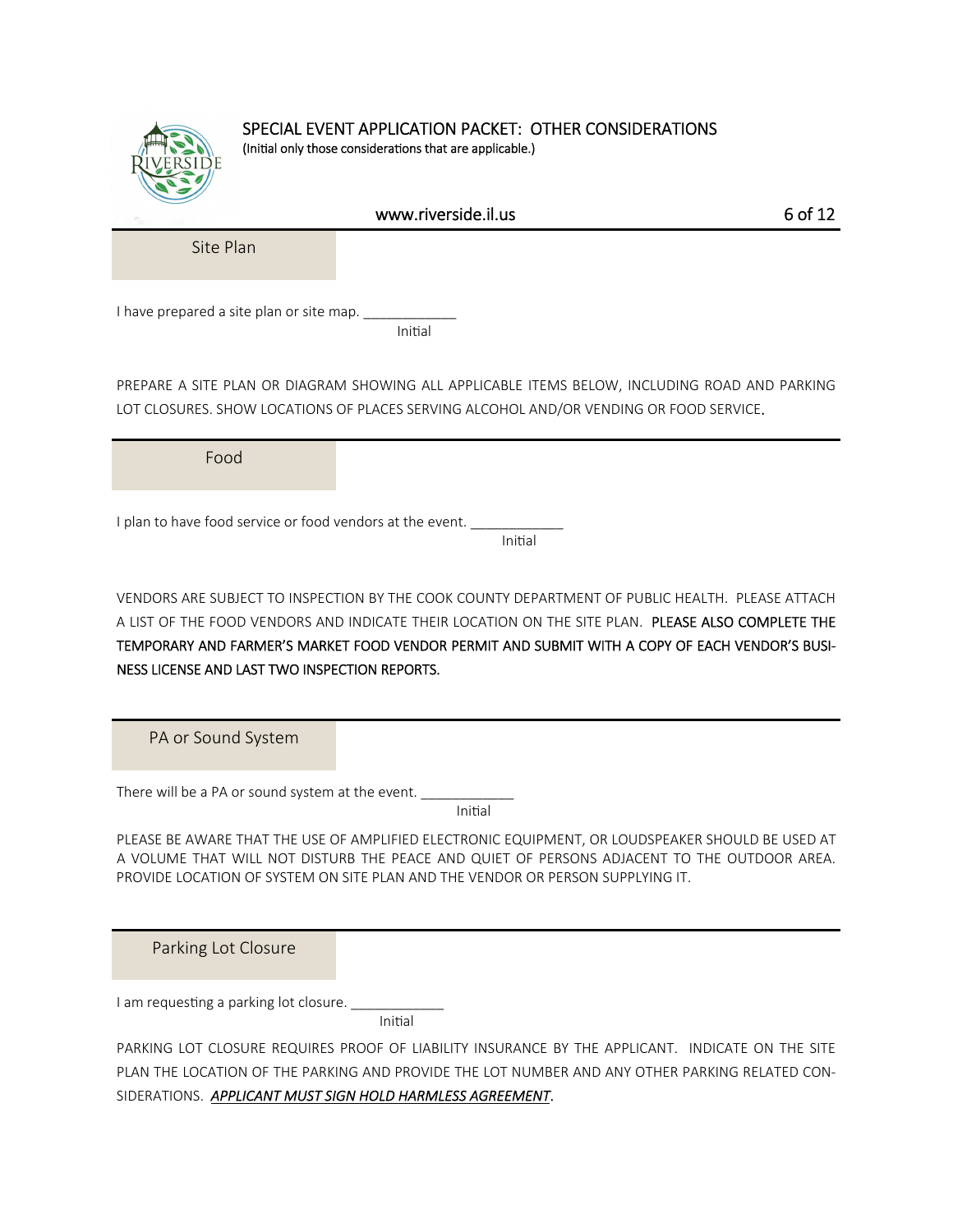|                                                           | SPECIAL EVENT APPLICATION PACKET: OTHER CONSIDERATIONS<br>(Initial only those considerations that are applicable.)                                                                                                                                                                                     |         |
|-----------------------------------------------------------|--------------------------------------------------------------------------------------------------------------------------------------------------------------------------------------------------------------------------------------------------------------------------------------------------------|---------|
|                                                           | www.riverside.il.us                                                                                                                                                                                                                                                                                    | 6 of 12 |
| Site Plan                                                 |                                                                                                                                                                                                                                                                                                        |         |
| I have prepared a site plan or site map.                  | Initial                                                                                                                                                                                                                                                                                                |         |
|                                                           | PREPARE A SITE PLAN OR DIAGRAM SHOWING ALL APPLICABLE ITEMS BELOW, INCLUDING ROAD AND PARKING<br>LOT CLOSURES. SHOW LOCATIONS OF PLACES SERVING ALCOHOL AND/OR VENDING OR FOOD SERVICE.                                                                                                                |         |
| Food                                                      |                                                                                                                                                                                                                                                                                                        |         |
| I plan to have food service or food vendors at the event. | Initial                                                                                                                                                                                                                                                                                                |         |
| NESS LICENSE AND LAST TWO INSPECTION REPORTS.             | VENDORS ARE SUBJECT TO INSPECTION BY THE COOK COUNTY DEPARTMENT OF PUBLIC HEALTH. PLEASE ATTACH<br>A LIST OF THE FOOD VENDORS AND INDICATE THEIR LOCATION ON THE SITE PLAN. PLEASE ALSO COMPLETE THE<br>TEMPORARY AND FARMER'S MARKET FOOD VENDOR PERMIT AND SUBMIT WITH A COPY OF EACH VENDOR'S BUSI- |         |
| PA or Sound System                                        |                                                                                                                                                                                                                                                                                                        |         |
| There will be a PA or sound system at the event.          | Initial                                                                                                                                                                                                                                                                                                |         |
|                                                           | PLEASE BE AWARE THAT THE USE OF AMPLIFIED ELECTRONIC EQUIPMENT, OR LOUDSPEAKER SHOULD BE USED AT<br>A VOLUME THAT WILL NOT DISTURB THE PEACE AND QUIET OF PERSONS ADJACENT TO THE OUTDOOR AREA.<br>PROVIDE LOCATION OF SYSTEM ON SITE PLAN AND THE VENDOR OR PERSON SUPPLYING IT.                      |         |
| Parking Lot Closure                                       |                                                                                                                                                                                                                                                                                                        |         |
| I am requesting a parking lot closure.                    | Initial                                                                                                                                                                                                                                                                                                |         |
|                                                           | PARKING LOT CLOSURE REQUIRES PROOF OF LIABILITY INSURANCE BY THE APPLICANT. INDICATE ON THE SITE<br>PLAN THE LOCATION OF THE PARKING AND PROVIDE THE LOT NUMBER AND ANY OTHER PARKING RELATED CON-                                                                                                     |         |

SIDERATIONS. *APPLICANT MUST SIGN HOLD HARMLESS AGREEMENT*.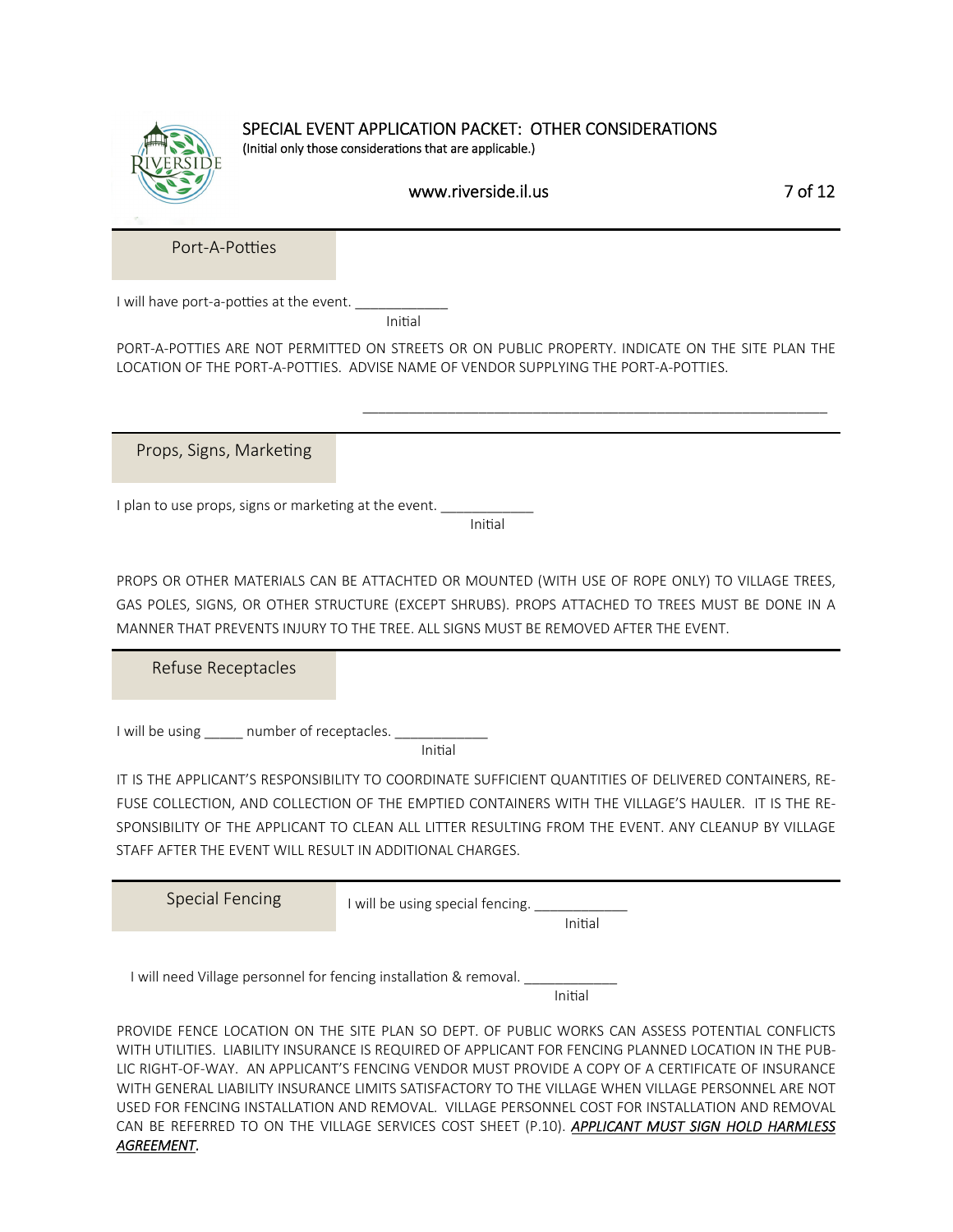

#### SPECIAL EVENT APPLICATION PACKET: OTHER CONSIDERATIONS (Initial only those considerations that are applicable.)

### www.riverside.il.us 7 of 12

Port-A-Potties

I will have port-a-potties at the event.

ini da kara ta 1999 - Kabupatén Bandung Pandung Pandung Pandung Pandung Pandung Pandung Pandung Pandung Pandun

٦

PORT-A-POTTIES ARE NOT PERMITTED ON STREETS OR ON PUBLIC PROPERTY. INDICATE ON THE SITE PLAN THE LOCATION OF THE PORT-A-POTTIES. ADVISE NAME OF VENDOR SUPPLYING THE PORT-A-POTTIES.

 $\_$ 

Props, Signs, Marketing

I plan to use props, signs or marketing at the event.

ing the contract of the contract of the contract of the contract of the contract of the contract of the contract of the contract of the contract of the contract of the contract of the contract of the contract of the contra

PROPS OR OTHER MATERIALS CAN BE ATTACHTED OR MOUNTED (WITH USE OF ROPE ONLY) TO VILLAGE TREES, GAS POLES, SIGNS, OR OTHER STRUCTURE (EXCEPT SHRUBS). PROPS ATTACHED TO TREES MUST BE DONE IN A MANNER THAT PREVENTS INJURY TO THE TREE. ALL SIGNS MUST BE REMOVED AFTER THE EVENT.

Refuse Receptacles

I will be using and number of receptacles.

initial and the contract of the contract of the contract of the contract of the contract of the contract of th

IT IS THE APPLICANT'S RESPONSIBILITY TO COORDINATE SUFFICIENT QUANTITIES OF DELIVERED CONTAINERS, RE-FUSE COLLECTION, AND COLLECTION OF THE EMPTIED CONTAINERS WITH THE VILLAGE'S HAULER. IT IS THE RE-SPONSIBILITY OF THE APPLICANT TO CLEAN ALL LITTER RESULTING FROM THE EVENT. ANY CLEANUP BY VILLAGE STAFF AFTER THE EVENT WILL RESULT IN ADDITIONAL CHARGES.

| Special Fencing                                                   | will be using special fencing.<br>Initial |  |
|-------------------------------------------------------------------|-------------------------------------------|--|
| I will need Village personnel for fencing installation & removal. | Initial                                   |  |

PROVIDE FENCE LOCATION ON THE SITE PLAN SO DEPT. OF PUBLIC WORKS CAN ASSESS POTENTIAL CONFLICTS WITH UTILITIES. LIABILITY INSURANCE IS REQUIRED OF APPLICANT FOR FENCING PLANNED LOCATION IN THE PUB-LIC RIGHT-OF-WAY. AN APPLICANT'S FENCING VENDOR MUST PROVIDE A COPY OF A CERTIFICATE OF INSURANCE WITH GENERAL LIABILITY INSURANCE LIMITS SATISFACTORY TO THE VILLAGE WHEN VILLAGE PERSONNEL ARE NOT USED FOR FENCING INSTALLATION AND REMOVAL. VILLAGE PERSONNEL COST FOR INSTALLATION AND REMOVAL CAN BE REFERRED TO ON THE VILLAGE SERVICES COST SHEET (P.10). *APPLICANT MUST SIGN HOLD HARMLESS AGREEMENT*.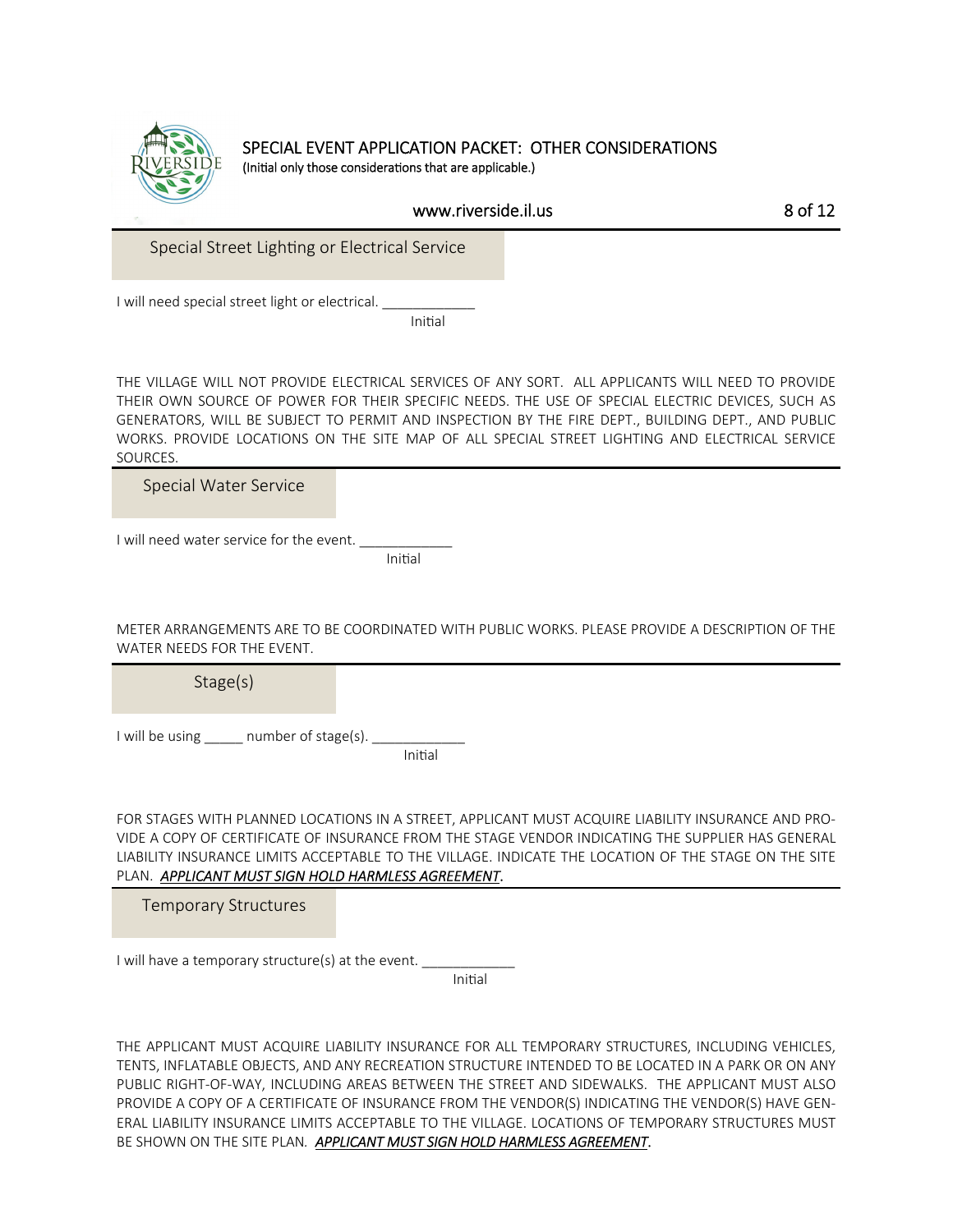

#### SPECIAL EVENT APPLICATION PACKET: OTHER CONSIDERATIONS (Initial only those considerations that are applicable.)

www.riverside.il.us 8 of 12

Special Street Lighting or Electrical Service

I will need special street light or electrical.

initial and the contract of the contract of the contract of the contract of the contract of the contract of th

THE VILLAGE WILL NOT PROVIDE ELECTRICAL SERVICES OF ANY SORT. ALL APPLICANTS WILL NEED TO PROVIDE THEIR OWN SOURCE OF POWER FOR THEIR SPECIFIC NEEDS. THE USE OF SPECIAL ELECTRIC DEVICES, SUCH AS GENERATORS, WILL BE SUBJECT TO PERMIT AND INSPECTION BY THE FIRE DEPT., BUILDING DEPT., AND PUBLIC WORKS. PROVIDE LOCATIONS ON THE SITE MAP OF ALL SPECIAL STREET LIGHTING AND ELECTRICAL SERVICE SOURCES.

Special Water Service

I will need water service for the event.

ini da kara ta 1999 - Kabupatén Initial

METER ARRANGEMENTS ARE TO BE COORDINATED WITH PUBLIC WORKS. PLEASE PROVIDE A DESCRIPTION OF THE WATER NEEDS FOR THE EVENT.

Stage(s)

I will be using \_\_\_\_\_ number of stage(s). \_\_\_\_\_\_\_\_\_\_\_\_

ing the contract of the contract of the contract of the contract of the contract of the contract of the contract of the contract of the contract of the contract of the contract of the contract of the contract of the contra

FOR STAGES WITH PLANNED LOCATIONS IN A STREET, APPLICANT MUST ACQUIRE LIABILITY INSURANCE AND PRO-VIDE A COPY OF CERTIFICATE OF INSURANCE FROM THE STAGE VENDOR INDICATING THE SUPPLIER HAS GENERAL LIABILITY INSURANCE LIMITS ACCEPTABLE TO THE VILLAGE. INDICATE THE LOCATION OF THE STAGE ON THE SITE PLAN. *APPLICANT MUST SIGN HOLD HARMLESS AGREEMENT*.

Temporary Structures

I will have a temporary structure(s) at the event.

initial contracts and contracts of the contracts of the contracts of the contracts of the contracts of the con

THE APPLICANT MUST ACQUIRE LIABILITY INSURANCE FOR ALL TEMPORARY STRUCTURES, INCLUDING VEHICLES, TENTS, INFLATABLE OBJECTS, AND ANY RECREATION STRUCTURE INTENDED TO BE LOCATED IN A PARK OR ON ANY PUBLIC RIGHT-OF-WAY, INCLUDING AREAS BETWEEN THE STREET AND SIDEWALKS. THE APPLICANT MUST ALSO PROVIDE A COPY OF A CERTIFICATE OF INSURANCE FROM THE VENDOR(S) INDICATING THE VENDOR(S) HAVE GEN-ERAL LIABILITY INSURANCE LIMITS ACCEPTABLE TO THE VILLAGE. LOCATIONS OF TEMPORARY STRUCTURES MUST BE SHOWN ON THE SITE PLAN*. APPLICANT MUST SIGN HOLD HARMLESS AGREEMENT*.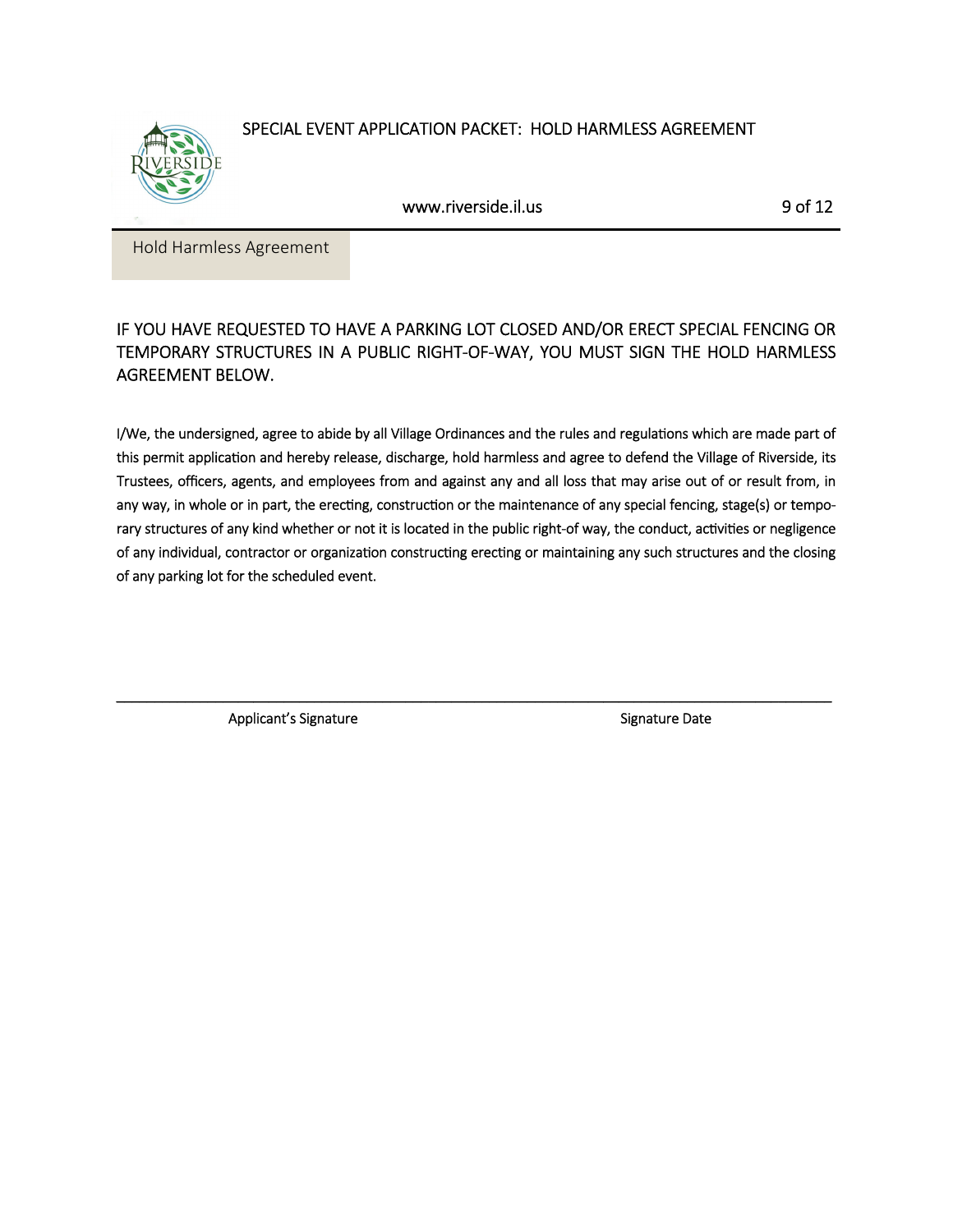SPECIAL EVENT APPLICATION PACKET: HOLD HARMLESS AGREEMENT



www.riverside.il.us 9 of 12

Hold Harmless Agreement

# IF YOU HAVE REQUESTED TO HAVE A PARKING LOT CLOSED AND/OR ERECT SPECIAL FENCING OR TEMPORARY STRUCTURES IN A PUBLIC RIGHT-OF-WAY, YOU MUST SIGN THE HOLD HARMLESS AGREEMENT BELOW.

I/We, the undersigned, agree to abide by all Village Ordinances and the rules and regulations which are made part of this permit application and hereby release, discharge, hold harmless and agree to defend the Village of Riverside, its Trustees, officers, agents, and employees from and against any and all loss that may arise out of or result from, in any way, in whole or in part, the erecting, construction or the maintenance of any special fencing, stage(s) or temporary structures of any kind whether or not it is located in the public right-of way, the conduct, activities or negligence of any individual, contractor or organization constructing erecting or maintaining any such structures and the closing of any parking lot for the scheduled event.

\_\_\_\_\_\_\_\_\_\_\_\_\_\_\_\_\_\_\_\_\_\_\_\_\_\_\_\_\_\_\_\_\_\_\_\_\_\_\_\_\_\_\_\_\_\_\_\_\_\_\_\_\_\_\_\_\_\_\_\_\_\_\_\_\_\_\_\_\_\_\_\_\_\_\_\_\_\_\_\_\_\_\_\_\_\_\_\_\_\_\_\_\_\_

Applicant's Signature  $\qquad \qquad$  Signature Date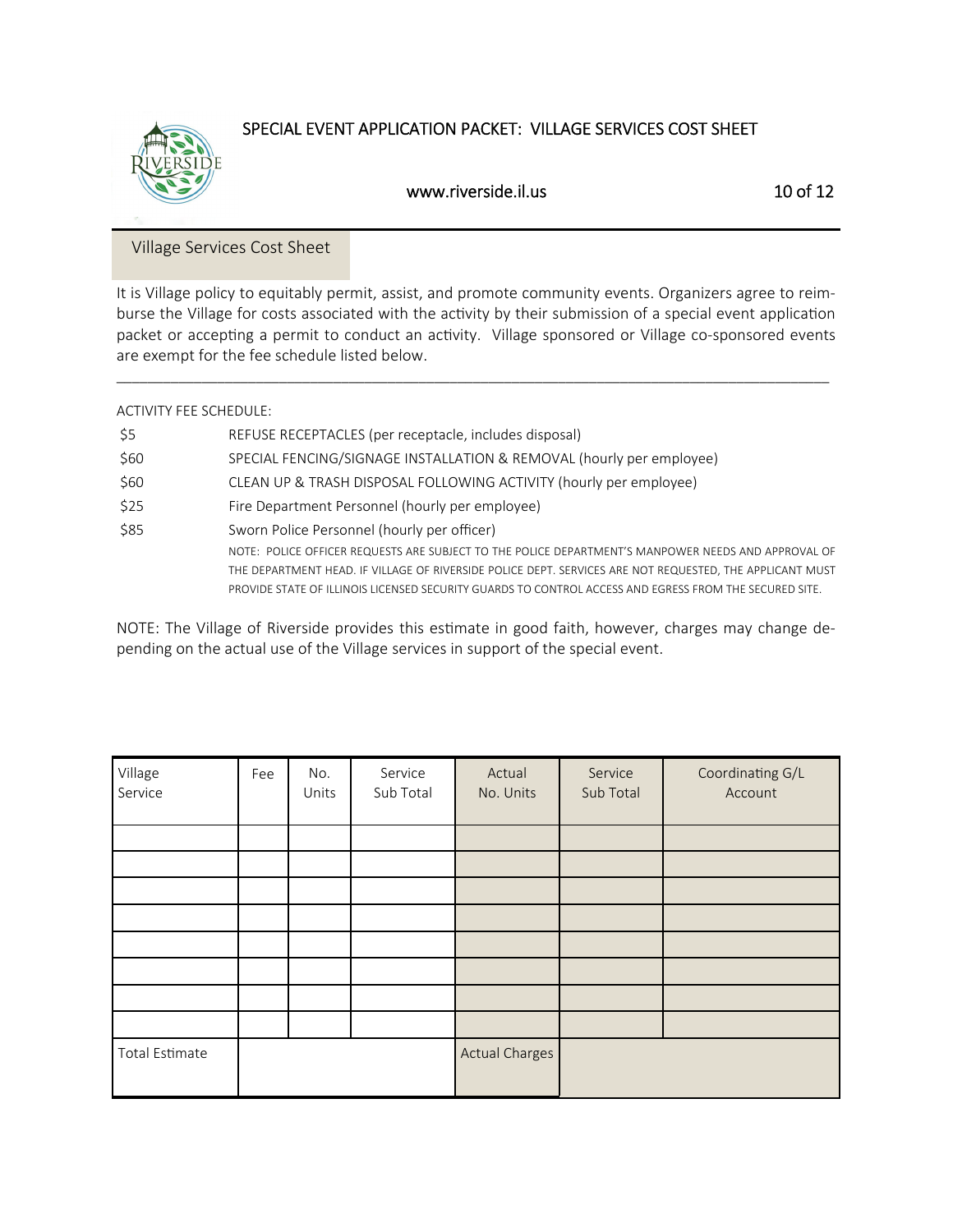

# SPECIAL EVENT APPLICATION PACKET: VILLAGE SERVICES COST SHEET

# www.riverside.il.us 10 of 12

#### Village Services Cost Sheet

It is Village policy to equitably permit, assist, and promote community events. Organizers agree to reimburse the Village for costs associated with the activity by their submission of a special event application packet or accepting a permit to conduct an activity. Village sponsored or Village co-sponsored events are exempt for the fee schedule listed below.

 $\_$  ,  $\_$  ,  $\_$  ,  $\_$  ,  $\_$  ,  $\_$  ,  $\_$  ,  $\_$  ,  $\_$  ,  $\_$  ,  $\_$  ,  $\_$  ,  $\_$  ,  $\_$  ,  $\_$  ,  $\_$  ,  $\_$  ,  $\_$  ,  $\_$  ,  $\_$  ,  $\_$  ,  $\_$  ,  $\_$  ,  $\_$  ,  $\_$  ,  $\_$  ,  $\_$  ,  $\_$  ,  $\_$  ,  $\_$  ,  $\_$  ,  $\_$  ,  $\_$  ,  $\_$  ,  $\_$  ,  $\_$  ,  $\_$  ,

#### ACTIVITY FEE SCHEDULE:

| REFUSE RECEPTACLES (per receptacle, includes disposal)                                                   |
|----------------------------------------------------------------------------------------------------------|
| SPECIAL FENCING/SIGNAGE INSTALLATION & REMOVAL (hourly per employee)                                     |
| CLEAN UP & TRASH DISPOSAL FOLLOWING ACTIVITY (hourly per employee)                                       |
| Fire Department Personnel (hourly per employee)                                                          |
| Sworn Police Personnel (hourly per officer)                                                              |
| NOTE: POLICE OFFICER REQUESTS ARE SUBJECT TO THE POLICE DEPARTMENT'S MANPOWER NEEDS AND APPROVAL OF      |
| THE DEPARTMENT HEAD. IF VILLAGE OF RIVERSIDE POLICE DEPT. SERVICES ARE NOT REQUESTED, THE APPLICANT MUST |
| PROVIDE STATE OF ILLINOIS LICENSED SECURITY GUARDS TO CONTROL ACCESS AND EGRESS FROM THE SECURED SITE.   |
|                                                                                                          |

NOTE: The Village of Riverside provides this estimate in good faith, however, charges may change depending on the actual use of the Village services in support of the special event.

| Village<br>Service    | Fee | No.<br>Units | Service<br>Sub Total | Actual<br>No. Units   | Service<br>Sub Total | Coordinating G/L<br>Account |
|-----------------------|-----|--------------|----------------------|-----------------------|----------------------|-----------------------------|
|                       |     |              |                      |                       |                      |                             |
|                       |     |              |                      |                       |                      |                             |
|                       |     |              |                      |                       |                      |                             |
|                       |     |              |                      |                       |                      |                             |
|                       |     |              |                      |                       |                      |                             |
|                       |     |              |                      |                       |                      |                             |
|                       |     |              |                      |                       |                      |                             |
|                       |     |              |                      |                       |                      |                             |
| <b>Total Estimate</b> |     |              |                      | <b>Actual Charges</b> |                      |                             |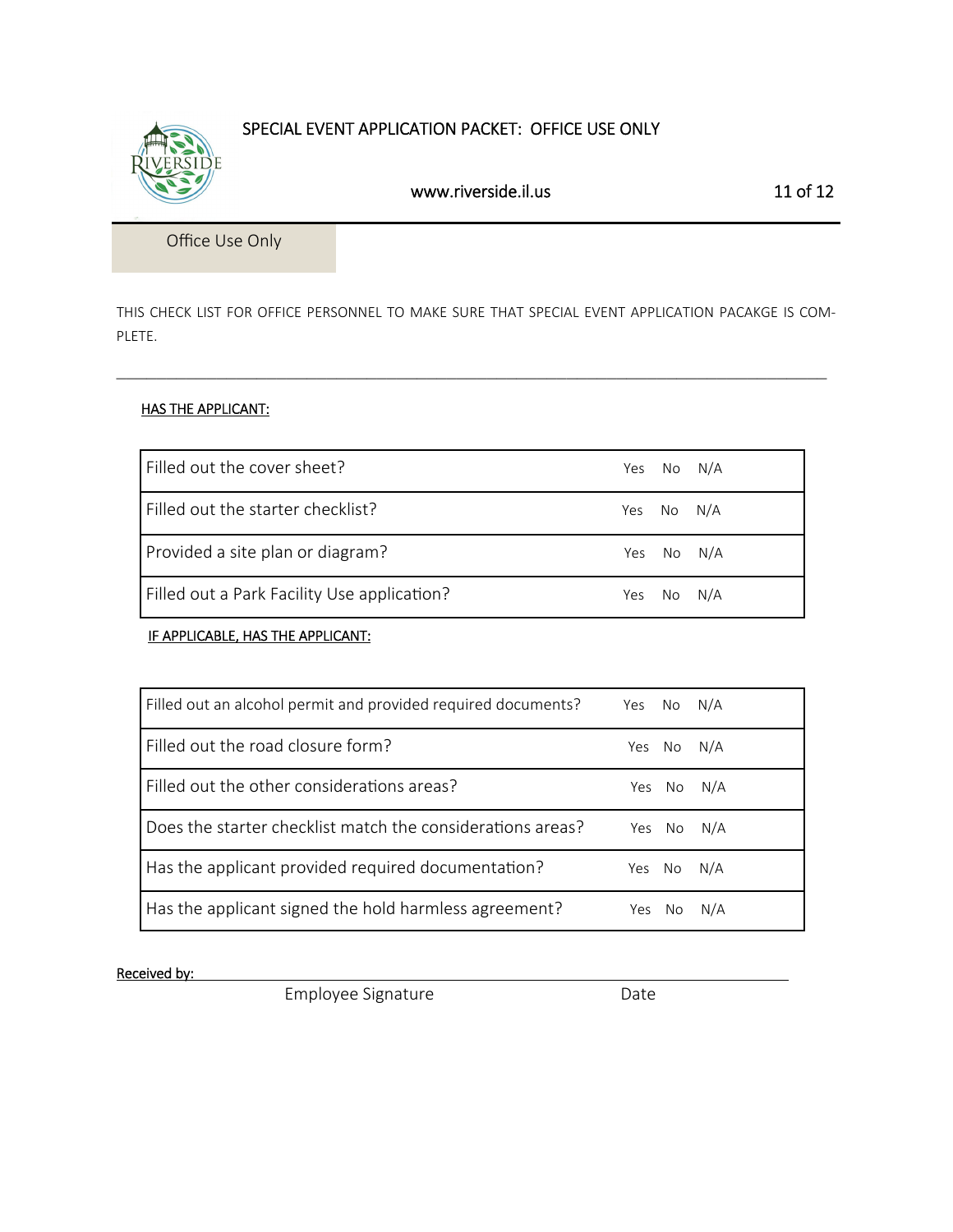# SPECIAL EVENT APPLICATION PACKET: OFFICE USE ONLY

Office Use Only

THIS CHECK LIST FOR OFFICE PERSONNEL TO MAKE SURE THAT SPECIAL EVENT APPLICATION PACAKGE IS COM-PLETE.

 $\_$  , and the set of the set of the set of the set of the set of the set of the set of the set of the set of the set of the set of the set of the set of the set of the set of the set of the set of the set of the set of th

#### HAS THE APPLICANT:

| l Filled out the cover sheet?               |     | Yes No N/A |        |
|---------------------------------------------|-----|------------|--------|
| Filled out the starter checklist?           | Yes | No N/A     |        |
| Provided a site plan or diagram?            | Yes | No N/A     |        |
| Filled out a Park Facility Use application? | Yes |            | No N/A |

**IF APPLICABLE, HAS THE APPLICANT:** 

| Filled out an alcohol permit and provided required documents? | Yes No N/A |        |            |
|---------------------------------------------------------------|------------|--------|------------|
| Filled out the road closure form?                             |            | Yes No | N/A        |
| Filled out the other considerations areas?                    |            |        | Yes No N/A |
| Does the starter checklist match the considerations areas?    |            |        | Yes No N/A |
| Has the applicant provided required documentation?            | Yes No     |        | N/A        |
| Has the applicant signed the hold harmless agreement?         | Yes        | No.    | N/A        |

#### Received by:

Employee Signature **Base School** Date